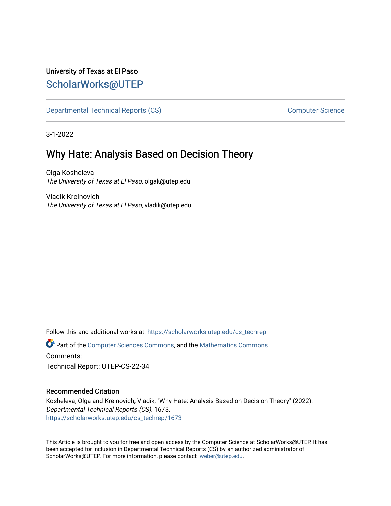## University of Texas at El Paso [ScholarWorks@UTEP](https://scholarworks.utep.edu/)

[Departmental Technical Reports \(CS\)](https://scholarworks.utep.edu/cs_techrep) and the computer Science Computer Science

3-1-2022

# Why Hate: Analysis Based on Decision Theory

Olga Kosheleva The University of Texas at El Paso, olgak@utep.edu

Vladik Kreinovich The University of Texas at El Paso, vladik@utep.edu

Follow this and additional works at: [https://scholarworks.utep.edu/cs\\_techrep](https://scholarworks.utep.edu/cs_techrep?utm_source=scholarworks.utep.edu%2Fcs_techrep%2F1673&utm_medium=PDF&utm_campaign=PDFCoverPages)  Part of the [Computer Sciences Commons](http://network.bepress.com/hgg/discipline/142?utm_source=scholarworks.utep.edu%2Fcs_techrep%2F1673&utm_medium=PDF&utm_campaign=PDFCoverPages), and the [Mathematics Commons](http://network.bepress.com/hgg/discipline/174?utm_source=scholarworks.utep.edu%2Fcs_techrep%2F1673&utm_medium=PDF&utm_campaign=PDFCoverPages) 

Comments:

Technical Report: UTEP-CS-22-34

### Recommended Citation

Kosheleva, Olga and Kreinovich, Vladik, "Why Hate: Analysis Based on Decision Theory" (2022). Departmental Technical Reports (CS). 1673. [https://scholarworks.utep.edu/cs\\_techrep/1673](https://scholarworks.utep.edu/cs_techrep/1673?utm_source=scholarworks.utep.edu%2Fcs_techrep%2F1673&utm_medium=PDF&utm_campaign=PDFCoverPages) 

This Article is brought to you for free and open access by the Computer Science at ScholarWorks@UTEP. It has been accepted for inclusion in Departmental Technical Reports (CS) by an authorized administrator of ScholarWorks@UTEP. For more information, please contact [lweber@utep.edu](mailto:lweber@utep.edu).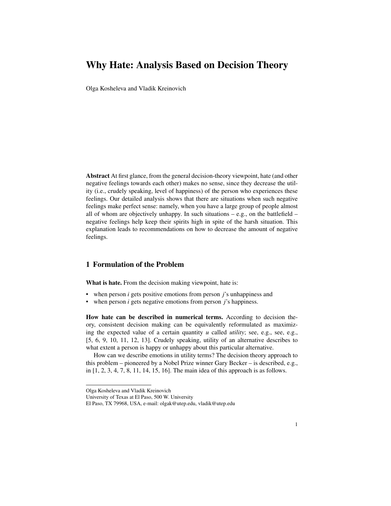## Why Hate: Analysis Based on Decision Theory

Olga Kosheleva and Vladik Kreinovich

Abstract At first glance, from the general decision-theory viewpoint, hate (and other negative feelings towards each other) makes no sense, since they decrease the utility (i.e., crudely speaking, level of happiness) of the person who experiences these feelings. Our detailed analysis shows that there are situations when such negative feelings make perfect sense: namely, when you have a large group of people almost all of whom are objectively unhappy. In such situations – e.g., on the battlefield – negative feelings help keep their spirits high in spite of the harsh situation. This explanation leads to recommendations on how to decrease the amount of negative feelings.

#### 1 Formulation of the Problem

What is hate. From the decision making viewpoint, hate is:

- when person *i* gets positive emotions from person *j*'s unhappiness and
- when person *i* gets negative emotions from person *j*'s happiness.

How hate can be described in numerical terms. According to decision theory, consistent decision making can be equivalently reformulated as maximizing the expected value of a certain quantity *u* called *utility*; see, e.g., see, e.g., [5, 6, 9, 10, 11, 12, 13]. Crudely speaking, utility of an alternative describes to what extent a person is happy or unhappy about this particular alternative.

How can we describe emotions in utility terms? The decision theory approach to this problem – pioneered by a Nobel Prize winner Gary Becker – is described, e.g., in [1, 2, 3, 4, 7, 8, 11, 14, 15, 16]. The main idea of this approach is as follows.

Olga Kosheleva and Vladik Kreinovich

University of Texas at El Paso, 500 W. University

El Paso, TX 79968, USA, e-mail: olgak@utep.edu, vladik@utep.edu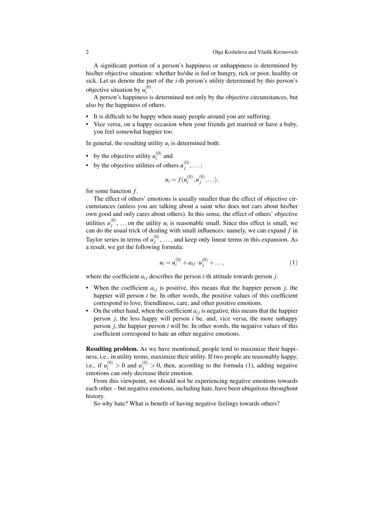A significant portion of a person's happiness or unhappiness is determined by his/her objective situation: whether hs/she is fed or hungry, rick or poor, healthy or sick. Let us denote the part of the *i*-th person's utility determined by this person's objective situation by  $u_i^{(0)}$  $\binom{v}{i}$ .

A person's happiness is determined not only by the objective circumstances, but also by the happiness of others.

- It is difficult to be happy when many people around you are suffering.
- Vice versa, on a happy occasion when your friends get married or have a baby, you feel somewhat happier too.

In general, the resulting utility  $u_i$  is determined both:

- by the objective utility  $u_i^{(0)}$  $i^{(0)}$  and
- by the objective utilities of others  $u_j^{(0)}$ *j* , . . . :

$$
u_i = f(u_i^{(0)}, u_j^{(0)}, \ldots),
$$

for some function *f* .

The effect of others' emotions is usually smaller than the effect of objective circumstances (unless you are talking about a saint who does not cars about his/her own good and only cares about others). In this sense, the effect of others' objective utilities  $u_i^{(0)}$  $j^{(0)}$ , ... on the utility  $u_i$  is reasonable small. Since this effect is small, we can do the usual trick of dealing with small influences: namely, we can expand *f* in Taylor series in terms of  $u_i^{(0)}$  $j_j^{(0)}, \ldots$ , and keep only linear terms in this expansion. As a result, we get the following formula:

$$
u_i = u_i^{(0)} + a_{ij} \cdot u_j^{(0)} + \dots,\tag{1}
$$

where the coefficient  $a_{ij}$  describes the person *i*-th attitude towards person *j*.

- When the coefficient  $a_{ij}$  is positive, this means that the happier person  $j$ , the happier will person *i* be. In other words, the positive values of this coefficient correspond to love, friendliness, care, and other positive emotions.
- On the other hand, when the coefficient  $a_{ij}$  is negative, this means that the happier person *j*, the less happy will person *i* be, and, vice versa, the more unhappy person *j*, the happier person *i* will be. In other words, the negative values of this coefficient correspond to hate an other negative emotions.

Resulting problem. As we have mentioned, people tend to maximize their happiness, i.e., in utility terms, maximize their utility. If two people are reasonably happy, i.e., if  $u_i^{(0)} > 0$  and  $u_j^{(0)} > 0$ , then, according to the formula (1), adding negative emotions can only decrease their emotion.

From this viewpoint, we should not be experiencing negative emotions towards each other – but negative emotions, including hate, have been ubiquitous throughout history.

So why hate? What is benefit of having negative feelings towards others?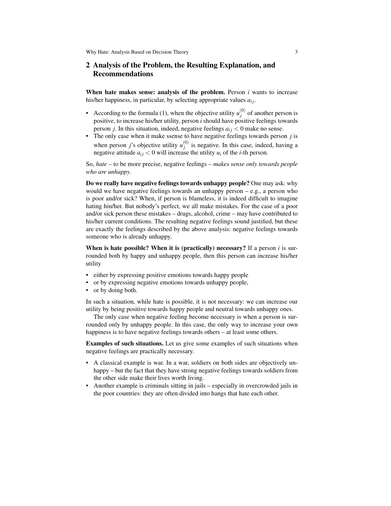### 2 Analysis of the Problem, the Resulting Explanation, and Recommendations

When hate makes sense: analysis of the problem. Person *i* wants to increase his/her happiness, in particular, by selecting appropriate values  $a_{ij}$ .

- According to the formula (1), when the objective utility  $u_i^{(0)}$  $j^{(0)}$  of another person is positive, to increase his/her utility, person *i* should have positive feelings towards person *j*. In this situation, indeed, negative feelings  $a_{ij} < 0$  make no sense.
- The only case when it make ssense to have negative feelings towards person *j* is when person *j*'s objective utility  $u_j^{(0)}$  $j_j^{(0)}$  is negative. In this case, indeed, having a negative attitude  $a_{ij} < 0$  will increase the utility  $u_i$  of the *i*-th person.

So, *hate* – to be more precise, negative feelings – *makes sense only towards people who are unhappy*.

Do we really have negative feelings towards unhappy people? One may ask: why would we have negative feelings towards an unhappy person – e.g., a person who is poor and/or sick? When, if person is blameless, it is indeed difficult to imagine hating hin/her. But nobody's perfect, we all make mistakes. For the case of a poor and/or sick person these mistakes – drugs, alcohol, crime – may have contributed to his/her current conditions. The resulting negative feelings sound justified, but these are exactly the feelings described by the above analysis: negative feelings towards someone who is already unhappy.

When is hate possible? When it is (practically) necessary? If a person *i* is surrounded both by happy and unhappy people, then this person can increase his/her utility

- either by expressing positive emotions towards happy people
- or by expressing negative emotions towards unhappy people,
- or by doing both.

In such a situation, while hate is possible, it is not necessary: we can increase our utility by being positive towards happy people and neutral towards unhappy ones.

The only case when negative feeling become necessary is when a person is surrounded only by unhappy people. In this case, the only way to increase your own happiness is to have negative feelings towards others – at least some others.

Examples of such situations. Let us give some examples of such situations when negative feelings are practically necessary.

- A classical example is war. In a war, soldiers on both sides are objectively unhappy – but the fact that they have strong negative feelings towards soldiers from the other side make their lives worth living.
- Another example is criminals sitting in jails especially in overcrowded jails in the poor countries: they are often divided into hangs that hate each other.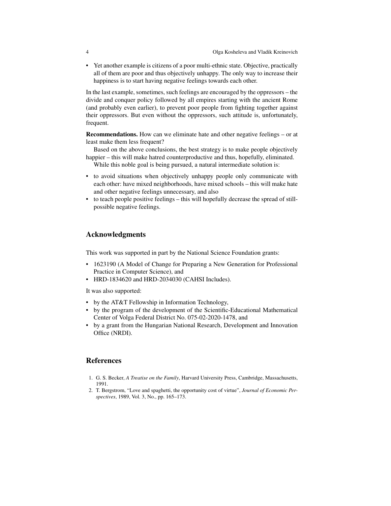• Yet another example is citizens of a poor multi-ethnic state. Objective, practically all of them are poor and thus objectively unhappy. The only way to increase their happiness is to start having negative feelings towards each other.

In the last example, sometimes, such feelings are encouraged by the oppressors – the divide and conquer policy followed by all empires starting with the ancient Rome (and probably even earlier), to prevent poor people from fighting together against their oppressors. But even without the oppressors, such attitude is, unfortunately, frequent.

Recommendations. How can we eliminate hate and other negative feelings – or at least make them less frequent?

Based on the above conclusions, the best strategy is to make people objectively happier – this will make hatred counterproductive and thus, hopefully, eliminated. While this noble goal is being pursued, a natural intermediate solution is:

- to avoid situations when objectively unhappy people only communicate with
- each other: have mixed neighborhoods, have mixed schools this will make hate and other negative feelings unnecessary, and also
- to teach people positive feelings this will hopefully decrease the spread of stillpossible negative feelings.

#### Acknowledgments

This work was supported in part by the National Science Foundation grants:

- 1623190 (A Model of Change for Preparing a New Generation for Professional Practice in Computer Science), and
- HRD-1834620 and HRD-2034030 (CAHSI Includes).

It was also supported:

- by the AT&T Fellowship in Information Technology,
- by the program of the development of the Scientific-Educational Mathematical Center of Volga Federal District No. 075-02-2020-1478, and
- by a grant from the Hungarian National Research, Development and Innovation Office (NRDI).

#### References

- 1. G. S. Becker, *A Treatise on the Family*, Harvard University Press, Cambridge, Massachusetts, 1991.
- 2. T. Bergstrom, "Love and spaghetti, the opportunity cost of virtue", *Journal of Economic Perspectives*, 1989, Vol. 3, No., pp. 165–173.